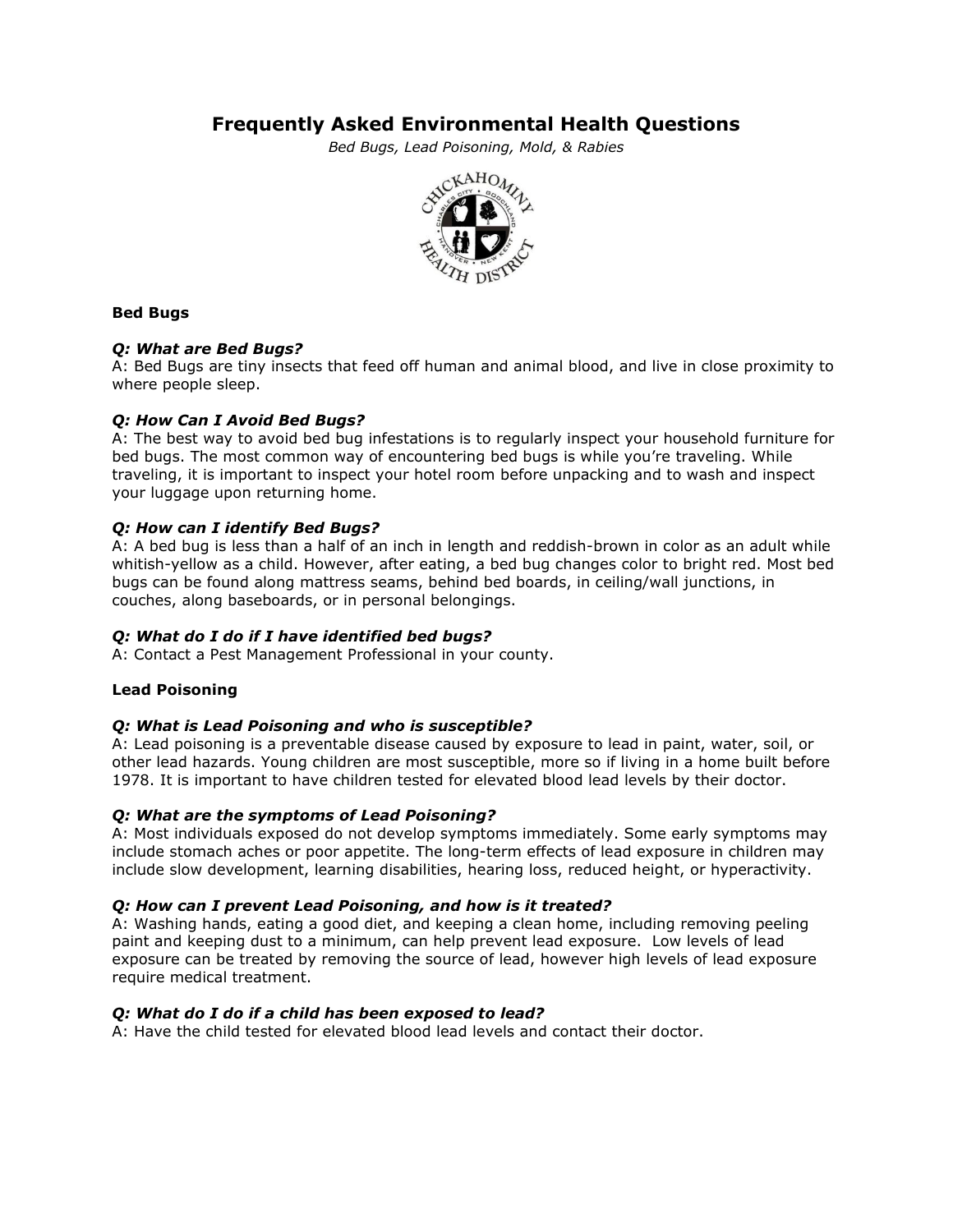# **Frequently Asked Environmental Health Questions**

*Bed Bugs, Lead Poisoning, Mold, & Rabies*



# **Bed Bugs**

# *Q: What are Bed Bugs?*

A: Bed Bugs are tiny insects that feed off human and animal blood, and live in close proximity to where people sleep.

# *Q: How Can I Avoid Bed Bugs?*

A: The best way to avoid bed bug infestations is to regularly inspect your household furniture for bed bugs. The most common way of encountering bed bugs is while you're traveling. While traveling, it is important to inspect your hotel room before unpacking and to wash and inspect your luggage upon returning home.

# *Q: How can I identify Bed Bugs?*

A: A bed bug is less than a half of an inch in length and reddish-brown in color as an adult while whitish-yellow as a child. However, after eating, a bed bug changes color to bright red. Most bed bugs can be found along mattress seams, behind bed boards, in ceiling/wall junctions, in couches, along baseboards, or in personal belongings.

#### *Q: What do I do if I have identified bed bugs?*

A: Contact a Pest Management Professional in your county.

#### **Lead Poisoning**

#### *Q: What is Lead Poisoning and who is susceptible?*

A: Lead poisoning is a preventable disease caused by exposure to lead in paint, water, soil, or other lead hazards. Young children are most susceptible, more so if living in a home built before 1978. It is important to have children tested for elevated blood lead levels by their doctor.

#### *Q: What are the symptoms of Lead Poisoning?*

A: Most individuals exposed do not develop symptoms immediately. Some early symptoms may include stomach aches or poor appetite. The long-term effects of lead exposure in children may include slow development, learning disabilities, hearing loss, reduced height, or hyperactivity.

#### *Q: How can I prevent Lead Poisoning, and how is it treated?*

A: Washing hands, eating a good diet, and keeping a clean home, including removing peeling paint and keeping dust to a minimum, can help prevent lead exposure. Low levels of lead exposure can be treated by removing the source of lead, however high levels of lead exposure require medical treatment.

#### *Q: What do I do if a child has been exposed to lead?*

A: Have the child tested for elevated blood lead levels and contact their doctor.